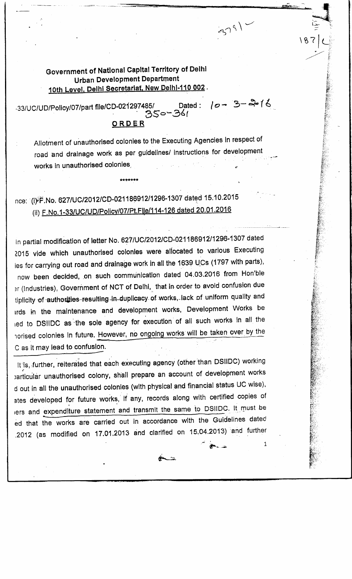## Government of National Capital Territory of Delhi Urban Development Department 10th Level. Delhi Secretariat. New Delhl-110 002.

Dat -33/UC/UD/Policy/07/part file/CD-021297485/<br>16/ مكر مسيح ORDER Dated:  $10 - 3 - 216$ 

Allotment of unauthorised colonies to the Executing Agencies in respect of road and drainage work as per guidelines/ instructions for development works in unauthorised colonies.

\%7 L.

 $379)$ 

## nce: (i)F.No. 627/UC/2012/CD-021186912/1296-1307 dated 15.10.2015 (ii) F.No.1-33/UC/UD/Policv/07/Pt.File/i14-126 dated 20.01.2016

in partial modification of letter No. 627/UC/2012/CD-021186912/1296-1307 dated 2015 vide which unauthorised colonies were allocated to various Executing ies for carrying out road and drainage work in all the 1639 UCs (1797 with parts), now been decided, on such communication dated 04.03.2016 from Hon'ble 3r(Industries), Government of NCT of Delhi, that in order to avoid confusion due tiplicity of authorities-resulting in-duplicacy of works, lack of uniform quality and irds m the maintenance and development works, Development Works be led to DSIIDC as the sole agency for execution of all such works in all the horised colonies in future. However, no ongoing works will be taken over by the C as it may lead to confusion.

It is, further, reiterated that each executing agency (other than DSIIDC) working barticular unauthorised colony, shall prepare an account of development works d out in all the unauthorised colonies (with physical and financial status UC wise), ates developed for future works, if any, records along with certified copies of iers and expenditure statement and transmit the same to DSIIDC, It must be ed that the works are carried out in accordance with the Guidelines dated .2012 (as modified on 17.01.2013 and clarified on 15.04.2013) and further

 $\overline{\bullet}$  .